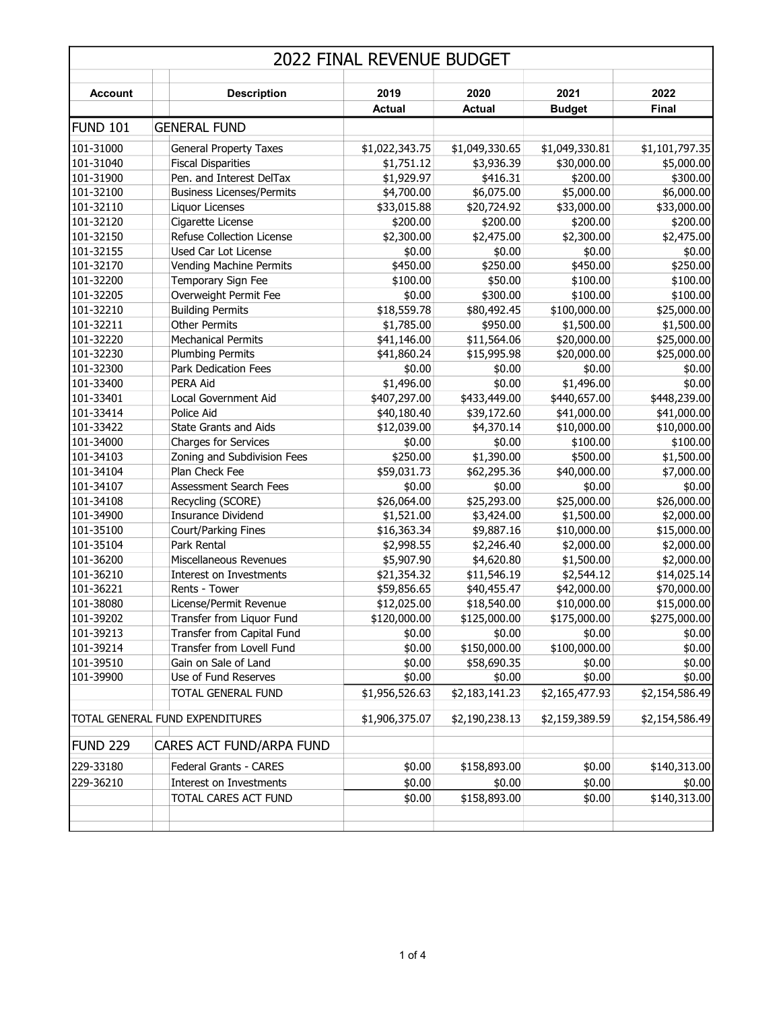| 2022 FINAL REVENUE BUDGET       |                                  |                            |                             |                            |                |
|---------------------------------|----------------------------------|----------------------------|-----------------------------|----------------------------|----------------|
| <b>Account</b>                  | <b>Description</b>               | 2019                       | 2020                        | 2021                       | 2022           |
|                                 |                                  | <b>Actual</b>              | Actual                      | <b>Budget</b>              | Final          |
| <b>FUND 101</b>                 | <b>GENERAL FUND</b>              |                            |                             |                            |                |
| 101-31000                       | <b>General Property Taxes</b>    | \$1,022,343.75             | \$1,049,330.65              | \$1,049,330.81             | \$1,101,797.35 |
| 101-31040                       | <b>Fiscal Disparities</b>        | \$1,751.12                 | \$3,936.39                  | \$30,000.00                | \$5,000.00     |
| 101-31900                       | Pen. and Interest DelTax         | \$1,929.97                 | \$416.31                    | \$200.00                   | \$300.00       |
| 101-32100                       | <b>Business Licenses/Permits</b> | \$4,700.00                 | \$6,075.00                  | \$5,000.00                 | \$6,000.00     |
| 101-32110                       | Liquor Licenses                  | \$33,015.88                | \$20,724.92                 | \$33,000.00                | \$33,000.00    |
| 101-32120                       | Cigarette License                | \$200.00                   | \$200.00                    | \$200.00                   | \$200.00       |
| 101-32150                       | Refuse Collection License        | \$2,300.00                 | \$2,475.00                  | \$2,300.00                 | \$2,475.00     |
| 101-32155                       | Used Car Lot License             | \$0.00                     | \$0.00                      | \$0.00                     | \$0.00         |
| 101-32170                       | <b>Vending Machine Permits</b>   | \$450.00                   | \$250.00                    | \$450.00                   | \$250.00       |
| 101-32200                       | Temporary Sign Fee               | \$100.00                   | \$50.00                     | \$100.00                   | \$100.00       |
| 101-32205                       | Overweight Permit Fee            | \$0.00                     | \$300.00                    | \$100.00                   | \$100.00       |
| 101-32210                       | <b>Building Permits</b>          | \$18,559.78                | \$80,492.45                 | \$100,000.00               | \$25,000.00    |
| 101-32211                       | <b>Other Permits</b>             | \$1,785.00                 | \$950.00                    | \$1,500.00                 | \$1,500.00     |
| 101-32220                       | <b>Mechanical Permits</b>        | \$41,146.00                | \$11,564.06                 | \$20,000.00                | \$25,000.00    |
| 101-32230                       | <b>Plumbing Permits</b>          | \$41,860.24                | \$15,995.98                 | \$20,000.00                | \$25,000.00    |
| 101-32300                       | Park Dedication Fees             | \$0.00                     | \$0.00                      | \$0.00                     | \$0.00         |
| 101-33400                       | PERA Aid                         | \$1,496.00                 | \$0.00                      | \$1,496.00                 | \$0.00         |
| 101-33401                       | Local Government Aid             | \$407,297.00               | \$433,449.00                | \$440,657.00               | \$448,239.00   |
|                                 | Police Aid                       |                            |                             |                            |                |
| 101-33414<br>101-33422          | <b>State Grants and Aids</b>     | \$40,180.40<br>\$12,039.00 | \$39,172.60<br>\$4,370.14   | \$41,000.00<br>\$10,000.00 | \$41,000.00    |
|                                 |                                  |                            |                             |                            | \$10,000.00    |
| 101-34000                       | Charges for Services             | \$0.00                     | \$0.00                      | \$100.00                   | \$100.00       |
| 101-34103                       | Zoning and Subdivision Fees      | \$250.00                   | \$1,390.00                  | \$500.00                   | \$1,500.00     |
| 101-34104                       | Plan Check Fee                   | \$59,031.73                | \$62,295.36                 | \$40,000.00                | \$7,000.00     |
| 101-34107                       | Assessment Search Fees           | \$0.00                     | \$0.00                      | \$0.00                     | \$0.00         |
| 101-34108                       | Recycling (SCORE)                | \$26,064.00                | \$25,293.00                 | \$25,000.00                | \$26,000.00    |
| 101-34900                       | <b>Insurance Dividend</b>        | \$1,521.00                 | \$3,424.00                  | \$1,500.00                 | \$2,000.00     |
| 101-35100                       | Court/Parking Fines              | \$16,363.34                | \$9,887.16                  | \$10,000.00                | \$15,000.00    |
| 101-35104                       | <b>Park Rental</b>               | \$2,998.55                 | \$2,246.40                  | \$2,000.00                 | \$2,000.00     |
| 101-36200                       | Miscellaneous Revenues           | \$5,907.90                 | \$4,620.80                  | \$1,500.00                 | \$2,000.00     |
| 101-36210                       | Interest on Investments          | \$21,354.32                | \$11,546.19                 | \$2,544.12                 | \$14,025.14    |
| 101-36221                       | Rents - Tower                    | \$59,856.65                | \$40,455.47                 | \$42,000.00                | \$70,000.00    |
| 101-38080                       | License/Permit Revenue           | \$12,025.00                | \$18,540.00<br>\$125,000.00 | \$10,000.00                | \$15,000.00    |
| 101-39202                       | Transfer from Liquor Fund        | \$120,000.00               |                             | \$175,000.00               | \$275,000.00   |
| 101-39213                       | Transfer from Capital Fund       | \$0.00<br>\$0.00           | \$0.00                      | \$0.00                     | \$0.00         |
| 101-39214                       | Transfer from Lovell Fund        |                            | \$150,000.00                | \$100,000.00               | \$0.00         |
| 101-39510                       | Gain on Sale of Land             | \$0.00                     | \$58,690.35                 | \$0.00                     | \$0.00         |
| 101-39900                       | Use of Fund Reserves             | \$0.00                     | \$0.00                      | \$0.00                     | \$0.00         |
|                                 | TOTAL GENERAL FUND               | \$1,956,526.63             | \$2,183,141.23              | \$2,165,477.93             | \$2,154,586.49 |
| TOTAL GENERAL FUND EXPENDITURES |                                  | \$1,906,375.07             | \$2,190,238.13              | \$2,159,389.59             | \$2,154,586.49 |
| <b>FUND 229</b>                 | CARES ACT FUND/ARPA FUND         |                            |                             |                            |                |
| 229-33180                       | Federal Grants - CARES           | \$0.00                     | \$158,893.00                | \$0.00                     | \$140,313.00   |
| 229-36210                       | Interest on Investments          | \$0.00                     | \$0.00                      | \$0.00                     | \$0.00         |
|                                 | TOTAL CARES ACT FUND             | \$0.00                     | \$158,893.00                | \$0.00                     | \$140,313.00   |
|                                 |                                  |                            |                             |                            |                |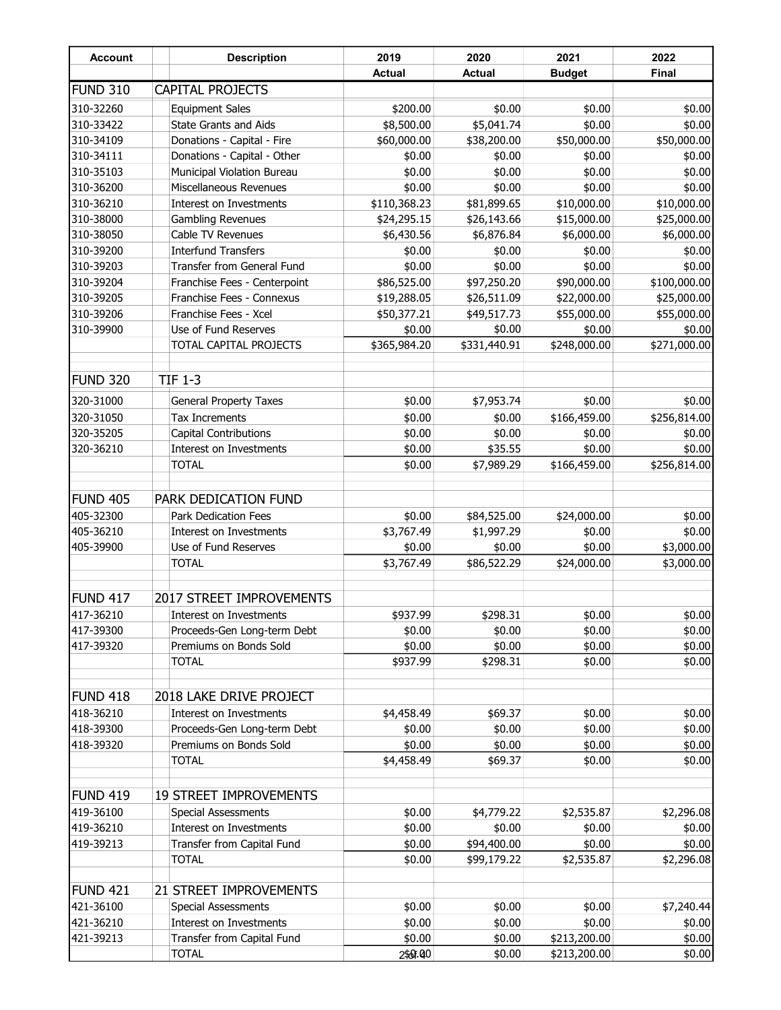| <b>Account</b>  | <b>Description</b>            | 2019          | 2020          | 2021          | 2022         |
|-----------------|-------------------------------|---------------|---------------|---------------|--------------|
|                 |                               | <b>Actual</b> | <b>Actual</b> | <b>Budget</b> | Final        |
| <b>FUND 310</b> | <b>CAPITAL PROJECTS</b>       |               |               |               |              |
| 310-32260       | <b>Equipment Sales</b>        | \$200.00      | \$0.00        | \$0.00        | \$0.00       |
| 310-33422       | <b>State Grants and Aids</b>  | \$8,500.00    | \$5,041.74    | \$0.00        | \$0.00       |
| 310-34109       | Donations - Capital - Fire    | \$60,000.00   | \$38,200.00   | \$50,000.00   | \$50,000.00  |
| 310-34111       | Donations - Capital - Other   | \$0.00        | \$0.00        | \$0.00        | \$0.00       |
| 310-35103       | Municipal Violation Bureau    | \$0.00        | \$0.00        | \$0.00        | \$0.00       |
| 310-36200       | Miscellaneous Revenues        | \$0.00        | \$0.00        | \$0.00        | \$0.00       |
| 310-36210       | Interest on Investments       | \$110,368.23  | \$81,899.65   | \$10,000.00   | \$10,000.00  |
| 310-38000       | <b>Gambling Revenues</b>      | \$24,295.15   | \$26,143.66   | \$15,000.00   | \$25,000.00  |
| 310-38050       | Cable TV Revenues             | \$6,430.56    | \$6,876.84    | \$6,000.00    | \$6,000.00   |
| 310-39200       | <b>Interfund Transfers</b>    | \$0.00        | \$0.00        | \$0.00        | \$0.00       |
| 310-39203       | Transfer from General Fund    | \$0.00        | \$0.00        | \$0.00        | \$0.00       |
| 310-39204       | Franchise Fees - Centerpoint  | \$86,525.00   | \$97,250.20   | \$90,000.00   | \$100,000.00 |
| 310-39205       | Franchise Fees - Connexus     | \$19,288.05   | \$26,511.09   | \$22,000.00   | \$25,000.00  |
| 310-39206       | Franchise Fees - Xcel         | \$50,377.21   | \$49,517.73   | \$55,000.00   | \$55,000.00  |
| 310-39900       | Use of Fund Reserves          | \$0.00        | \$0.00        | \$0.00        | \$0.00       |
|                 | TOTAL CAPITAL PROJECTS        | \$365,984.20  | \$331,440.91  | \$248,000.00  | \$271,000.00 |
| FUND 320        | <b>TIF 1-3</b>                |               |               |               |              |
| 320-31000       | <b>General Property Taxes</b> | \$0.00        | \$7,953.74    | \$0.00        | \$0.00       |
| 320-31050       | <b>Tax Increments</b>         | \$0.00        | \$0.00        | \$166,459.00  | \$256,814.00 |
| 320-35205       | Capital Contributions         | \$0.00        | \$0.00        | \$0.00        | \$0.00       |
| 320-36210       | Interest on Investments       | \$0.00        | \$35.55       | \$0.00        | \$0.00       |
|                 | <b>TOTAL</b>                  | \$0.00        | \$7,989.29    | \$166,459.00  | \$256,814.00 |
|                 |                               |               |               |               |              |
| <b>FUND 405</b> | PARK DEDICATION FUND          |               |               |               |              |
| 405-32300       | Park Dedication Fees          | \$0.00        | \$84,525.00   | \$24,000.00   | \$0.00       |
| 405-36210       | Interest on Investments       | \$3,767.49    | \$1,997.29    | \$0.00        | \$0.00       |
| 405-39900       | Use of Fund Reserves          | \$0.00        | \$0.00        | \$0.00        | \$3,000.00   |
|                 | <b>TOTAL</b>                  | \$3,767.49    | \$86,522.29   | \$24,000.00   | \$3,000.00   |
|                 |                               |               |               |               |              |
| <b>FUND 417</b> | 2017 STREET IMPROVEMENTS      |               |               |               |              |
| 417-36210       | Interest on Investments       | \$937.99      | \$298.31      | \$0.00        | \$0.00       |
| 417-39300       | Proceeds-Gen Long-term Debt   | \$0.00        | \$0.00        | \$0.00        | \$0.00       |
| 417-39320       | Premiums on Bonds Sold        | \$0.00        | \$0.00        | \$0.00        | \$0.00       |
|                 | <b>TOTAL</b>                  | \$937.99      | \$298.31      | \$0.00        | \$0.00       |
|                 |                               |               |               |               |              |
| FUND 418        | 2018 LAKE DRIVE PROJECT       |               |               |               |              |
| 418-36210       | Interest on Investments       | \$4,458.49    | \$69.37       | \$0.00        | \$0.00       |
| 418-39300       | Proceeds-Gen Long-term Debt   | \$0.00        | \$0.00        | \$0.00        | \$0.00       |
| 418-39320       | Premiums on Bonds Sold        | \$0.00        | \$0.00        | \$0.00        | \$0.00       |
|                 | <b>TOTAL</b>                  | \$4,458.49    | \$69.37       | \$0.00        | \$0.00       |
| FUND 419        | <b>19 STREET IMPROVEMENTS</b> |               |               |               |              |
| 419-36100       | <b>Special Assessments</b>    | \$0.00        | \$4,779.22    | \$2,535.87    | \$2,296.08   |
| 419-36210       | Interest on Investments       | \$0.00        | \$0.00        | \$0.00        | \$0.00       |
| 419-39213       | Transfer from Capital Fund    | \$0.00        | \$94,400.00   | \$0.00        | \$0.00       |
|                 | <b>TOTAL</b>                  | \$0.00        | \$99,179.22   | \$2,535.87    | \$2,296.08   |
| FUND 421        | 21 STREET IMPROVEMENTS        |               |               |               |              |
| 421-36100       | <b>Special Assessments</b>    | \$0.00        | \$0.00        | \$0.00        | \$7,240.44   |
| 421-36210       | Interest on Investments       | \$0.00        | \$0.00        | \$0.00        | \$0.00       |
| 421-39213       | Transfer from Capital Fund    | \$0.00        | \$0.00        | \$213,200.00  | \$0.00       |
|                 | <b>TOTAL</b>                  | 2\$67.00      | \$0.00        | \$213,200.00  | \$0.00       |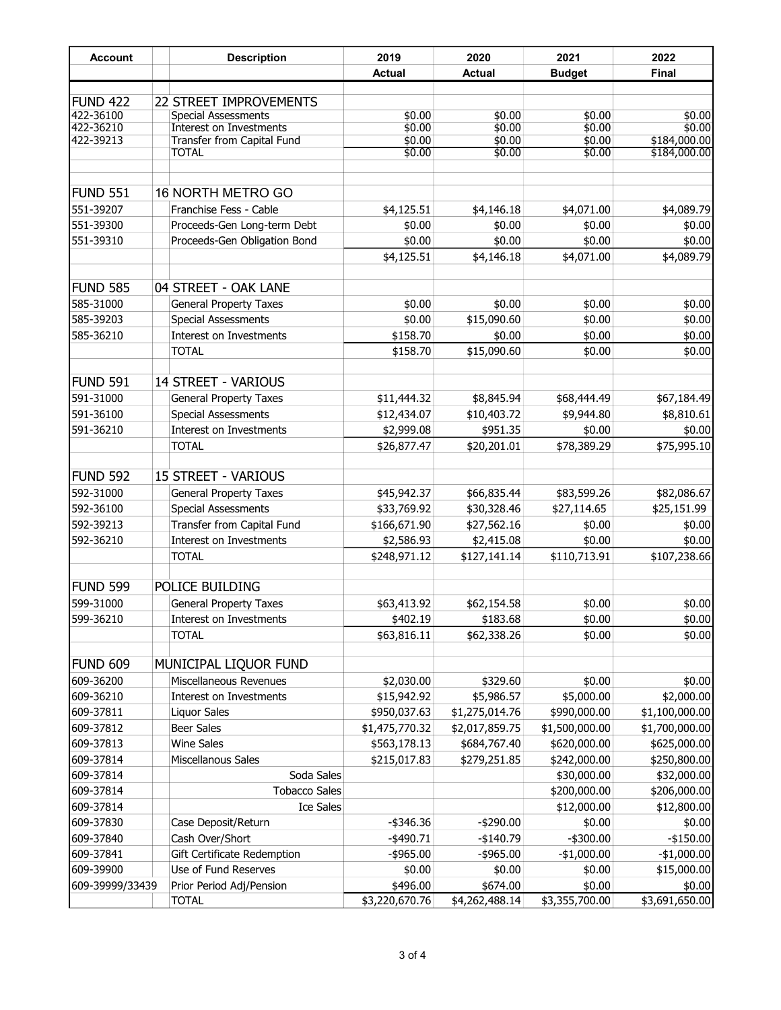| <b>Account</b>         | <b>Description</b>                                    | 2019             | 2020             | 2021             | 2022             |
|------------------------|-------------------------------------------------------|------------------|------------------|------------------|------------------|
|                        |                                                       | <b>Actual</b>    | <b>Actual</b>    | <b>Budget</b>    | <b>Final</b>     |
|                        |                                                       |                  |                  |                  |                  |
| <b>FUND 422</b>        | <b>22 STREET IMPROVEMENTS</b>                         |                  |                  |                  |                  |
| 422-36100<br>422-36210 | <b>Special Assessments</b><br>Interest on Investments | \$0.00<br>\$0.00 | \$0.00<br>\$0.00 | \$0.00<br>\$0.00 | \$0.00<br>\$0.00 |
| 422-39213              | Transfer from Capital Fund                            | \$0.00           | \$0.00           | \$0.00           | \$184,000.00     |
|                        | <b>TOTAL</b>                                          | \$0.00           | \$0.00           | \$0.00           | \$184,000.00     |
| <b>FUND 551</b>        | 16 NORTH METRO GO                                     |                  |                  |                  |                  |
| 551-39207              | Franchise Fess - Cable                                | \$4,125.51       | \$4,146.18       | \$4,071.00       | \$4,089.79       |
| 551-39300              | Proceeds-Gen Long-term Debt                           | \$0.00           | \$0.00           | \$0.00           | \$0.00           |
| 551-39310              | Proceeds-Gen Obligation Bond                          | \$0.00           | \$0.00           | \$0.00           | \$0.00           |
|                        |                                                       | \$4,125.51       | \$4,146.18       | \$4,071.00       | \$4,089.79       |
| <b>FUND 585</b>        | 04 STREET - OAK LANE                                  |                  |                  |                  |                  |
| 585-31000              | <b>General Property Taxes</b>                         | \$0.00           | \$0.00           | \$0.00           | \$0.00           |
| 585-39203              | <b>Special Assessments</b>                            | \$0.00           | \$15,090.60      | \$0.00           | \$0.00           |
| 585-36210              | Interest on Investments                               | \$158.70         | \$0.00           | \$0.00           | \$0.00           |
|                        | <b>TOTAL</b>                                          | \$158.70         | \$15,090.60      | \$0.00           | \$0.00           |
|                        |                                                       |                  |                  |                  |                  |
| <b>FUND 591</b>        | 14 STREET - VARIOUS                                   |                  |                  |                  |                  |
| 591-31000              | <b>General Property Taxes</b>                         | \$11,444.32      | \$8,845.94       | \$68,444.49      | \$67,184.49      |
| 591-36100              | <b>Special Assessments</b>                            | \$12,434.07      | \$10,403.72      | \$9,944.80       | \$8,810.61       |
| 591-36210              | Interest on Investments                               | \$2,999.08       | \$951.35         | \$0.00           | \$0.00           |
|                        | <b>TOTAL</b>                                          | \$26,877.47      | \$20,201.01      | \$78,389.29      | \$75,995.10      |
| <b>FUND 592</b>        | <b>15 STREET - VARIOUS</b>                            |                  |                  |                  |                  |
| 592-31000              | <b>General Property Taxes</b>                         | \$45,942.37      | \$66,835.44      | \$83,599.26      | \$82,086.67      |
| 592-36100              | <b>Special Assessments</b>                            | \$33,769.92      | \$30,328.46      | \$27,114.65      | \$25,151.99      |
| 592-39213              | Transfer from Capital Fund                            | \$166,671.90     | \$27,562.16      | \$0.00           | \$0.00           |
| 592-36210              | Interest on Investments                               | \$2,586.93       | \$2,415.08       | \$0.00           | \$0.00           |
|                        | <b>TOTAL</b>                                          | \$248,971.12     | \$127,141.14     | \$110,713.91     | \$107,238.66     |
| FUND 599               | POLICE BUILDING                                       |                  |                  |                  |                  |
| 599-31000              | <b>General Property Taxes</b>                         | \$63,413.92      | \$62,154.58      | \$0.00           | \$0.00           |
| 599-36210              | Interest on Investments                               | \$402.19         | \$183.68         | \$0.00           | \$0.00           |
|                        | <b>TOTAL</b>                                          | \$63,816.11      | \$62,338.26      | \$0.00           | \$0.00           |
| FUND 609               | MUNICIPAL LIQUOR FUND                                 |                  |                  |                  |                  |
| 609-36200              | Miscellaneous Revenues                                | \$2,030.00       | \$329.60         | \$0.00           | \$0.00           |
| 609-36210              | Interest on Investments                               | \$15,942.92      | \$5,986.57       | \$5,000.00       | \$2,000.00       |
| 609-37811              | Liquor Sales                                          | \$950,037.63     | \$1,275,014.76   | \$990,000.00     | \$1,100,000.00   |
| 609-37812              | Beer Sales                                            | \$1,475,770.32   | \$2,017,859.75   | \$1,500,000.00   | \$1,700,000.00   |
| 609-37813              | <b>Wine Sales</b>                                     | \$563,178.13     | \$684,767.40     | \$620,000.00     | \$625,000.00     |
| 609-37814              | Miscellanous Sales                                    | \$215,017.83     | \$279,251.85     | \$242,000.00     | \$250,800.00     |
| 609-37814              | Soda Sales                                            |                  |                  | \$30,000.00      | \$32,000.00      |
| 609-37814              | <b>Tobacco Sales</b>                                  |                  |                  | \$200,000.00     | \$206,000.00     |
| 609-37814              | <b>Ice Sales</b>                                      |                  |                  | \$12,000.00      | \$12,800.00      |
| 609-37830              | Case Deposit/Return                                   | -\$346.36        | $-$ \$290.00     | \$0.00           | \$0.00           |
| 609-37840              | Cash Over/Short                                       | $-$ \$490.71     | $-$140.79$       | -\$300.00        | $-$150.00$       |
| 609-37841              | Gift Certificate Redemption                           | $-$ \$965.00     | $-$ \$965.00     | $-$1,000.00$     | $-$1,000.00$     |
| 609-39900              | Use of Fund Reserves                                  | \$0.00           | \$0.00           | \$0.00           | \$15,000.00      |
| 609-39999/33439        | Prior Period Adj/Pension                              | \$496.00         | \$674.00         | \$0.00           | \$0.00           |
|                        | <b>TOTAL</b>                                          | \$3,220,670.76   | \$4,262,488.14   | \$3,355,700.00   | \$3,691,650.00   |